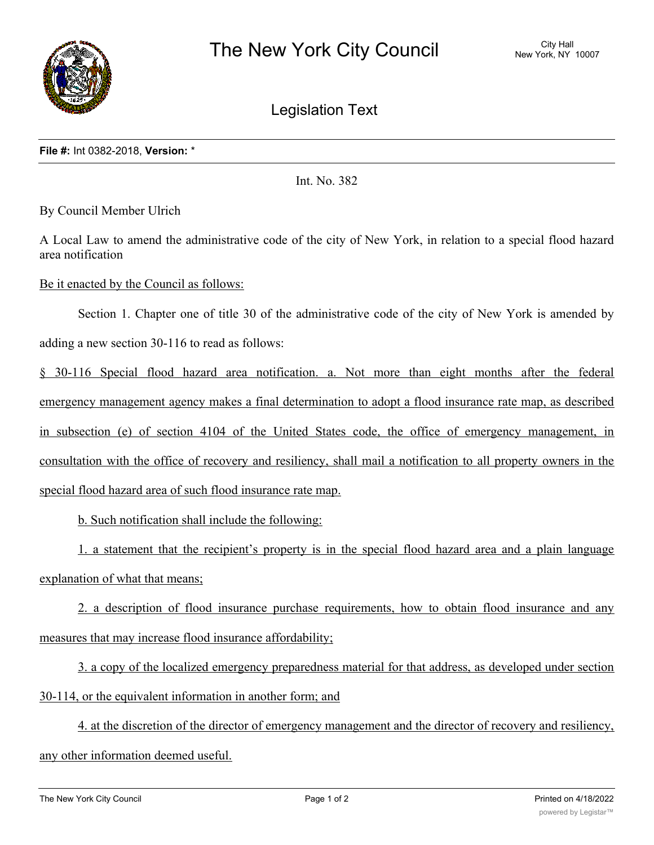

Legislation Text

Int. No. 382

By Council Member Ulrich

A Local Law to amend the administrative code of the city of New York, in relation to a special flood hazard area notification

Be it enacted by the Council as follows:

Section 1. Chapter one of title 30 of the administrative code of the city of New York is amended by adding a new section 30-116 to read as follows:

§ 30-116 Special flood hazard area notification. a. Not more than eight months after the federal emergency management agency makes a final determination to adopt a flood insurance rate map, as described in subsection (e) of section 4104 of the United States code, the office of emergency management, in consultation with the office of recovery and resiliency, shall mail a notification to all property owners in the special flood hazard area of such flood insurance rate map.

b. Such notification shall include the following:

1. a statement that the recipient's property is in the special flood hazard area and a plain language explanation of what that means;

2. a description of flood insurance purchase requirements, how to obtain flood insurance and any measures that may increase flood insurance affordability;

3. a copy of the localized emergency preparedness material for that address, as developed under section 30-114, or the equivalent information in another form; and

4. at the discretion of the director of emergency management and the director of recovery and resiliency, any other information deemed useful.